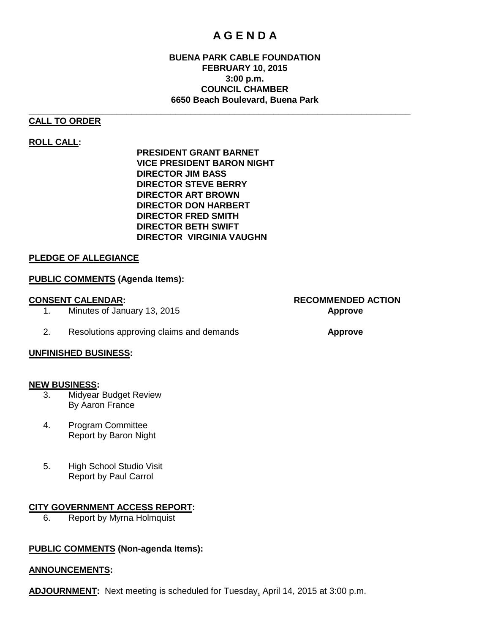## **A G E N D A**

#### **BUENA PARK CABLE FOUNDATION FEBRUARY 10, 2015 3:00 p.m. COUNCIL CHAMBER 6650 Beach Boulevard, Buena Park**

### **CALL TO ORDER**

#### **ROLL CALL:**

**PRESIDENT GRANT BARNET VICE PRESIDENT BARON NIGHT DIRECTOR JIM BASS DIRECTOR STEVE BERRY DIRECTOR ART BROWN DIRECTOR DON HARBERT DIRECTOR FRED SMITH DIRECTOR BETH SWIFT DIRECTOR VIRGINIA VAUGHN**

**\_\_\_\_\_\_\_\_\_\_\_\_\_\_\_\_\_\_\_\_\_\_\_\_\_\_\_\_\_\_\_\_\_\_\_\_\_\_\_\_\_\_\_\_\_\_\_\_\_\_\_\_\_\_\_\_\_\_\_\_\_\_\_\_\_\_\_\_\_\_\_\_\_\_\_\_\_\_**

#### **PLEDGE OF ALLEGIANCE**

#### **PUBLIC COMMENTS (Agenda Items):**

1. Minutes of January 13, 2015 **Approve**

2. Resolutions approving claims and demands **Approve**

#### **UNFINISHED BUSINESS:**

#### **NEW BUSINESS:**

- 3. Midyear Budget Review By Aaron France
- 4. Program Committee Report by Baron Night
- 5. High School Studio Visit Report by Paul Carrol

#### **CITY GOVERNMENT ACCESS REPORT:**

6. Report by Myrna Holmquist

#### **PUBLIC COMMENTS (Non-agenda Items):**

#### **ANNOUNCEMENTS:**

**ADJOURNMENT:** Next meeting is scheduled for Tuesday, April 14, 2015 at 3:00 p.m.

# **CONSENT CALENDAR: RECOMMENDED ACTION**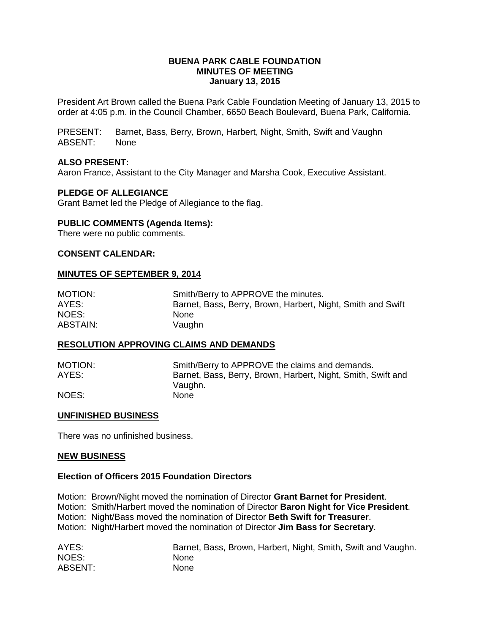#### **BUENA PARK CABLE FOUNDATION MINUTES OF MEETING January 13, 2015**

President Art Brown called the Buena Park Cable Foundation Meeting of January 13, 2015 to order at 4:05 p.m. in the Council Chamber, 6650 Beach Boulevard, Buena Park, California.

PRESENT: Barnet, Bass, Berry, Brown, Harbert, Night, Smith, Swift and Vaughn ABSENT: None

#### **ALSO PRESENT:**

Aaron France, Assistant to the City Manager and Marsha Cook, Executive Assistant.

#### **PLEDGE OF ALLEGIANCE**

Grant Barnet led the Pledge of Allegiance to the flag.

#### **PUBLIC COMMENTS (Agenda Items):**

There were no public comments.

#### **CONSENT CALENDAR:**

#### **MINUTES OF SEPTEMBER 9, 2014**

| MOTION:  | Smith/Berry to APPROVE the minutes.                         |
|----------|-------------------------------------------------------------|
| AYES:    | Barnet, Bass, Berry, Brown, Harbert, Night, Smith and Swift |
| NOES:    | None.                                                       |
| ABSTAIN: | Vaughn                                                      |

#### **RESOLUTION APPROVING CLAIMS AND DEMANDS**

| <b>MOTION:</b> | Smith/Berry to APPROVE the claims and demands.               |
|----------------|--------------------------------------------------------------|
| AYES:          | Barnet, Bass, Berry, Brown, Harbert, Night, Smith, Swift and |
|                | Vaughn.                                                      |
| NOES:          | <b>None</b>                                                  |

#### **UNFINISHED BUSINESS**

There was no unfinished business.

#### **NEW BUSINESS**

#### **Election of Officers 2015 Foundation Directors**

Motion: Brown/Night moved the nomination of Director **Grant Barnet for President**.

Motion: Smith/Harbert moved the nomination of Director **Baron Night for Vice President**.

Motion: Night/Bass moved the nomination of Director **Beth Swift for Treasurer**.

Motion: Night/Harbert moved the nomination of Director **Jim Bass for Secretary**.

| AYES:          | Barnet, Bass, Brown, Harbert, Night, Smith, Swift and Vaughn. |
|----------------|---------------------------------------------------------------|
| NOES:          | <b>None</b>                                                   |
| <b>ABSENT:</b> | <b>None</b>                                                   |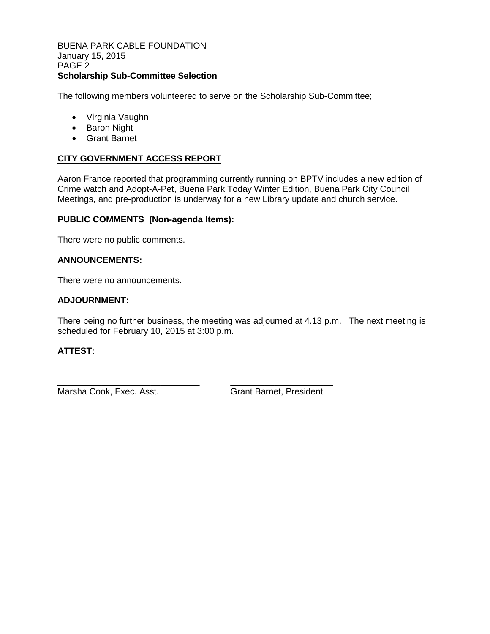BUENA PARK CABLE FOUNDATION January 15, 2015 PAGE 2 **Scholarship Sub-Committee Selection**

The following members volunteered to serve on the Scholarship Sub-Committee;

- Virginia Vaughn
- Baron Night
- Grant Barnet

### **CITY GOVERNMENT ACCESS REPORT**

Aaron France reported that programming currently running on BPTV includes a new edition of Crime watch and Adopt-A-Pet, Buena Park Today Winter Edition, Buena Park City Council Meetings, and pre-production is underway for a new Library update and church service.

#### **PUBLIC COMMENTS (Non-agenda Items):**

There were no public comments.

#### **ANNOUNCEMENTS:**

There were no announcements.

#### **ADJOURNMENT:**

There being no further business, the meeting was adjourned at 4.13 p.m. The next meeting is scheduled for February 10, 2015 at 3:00 p.m.

#### **ATTEST:**

Marsha Cook, Exec. Asst. Grant Barnet, President

\_\_\_\_\_\_\_\_\_\_\_\_\_\_\_\_\_\_\_\_\_\_\_\_\_\_\_\_\_ \_\_\_\_\_\_\_\_\_\_\_\_\_\_\_\_\_\_\_\_\_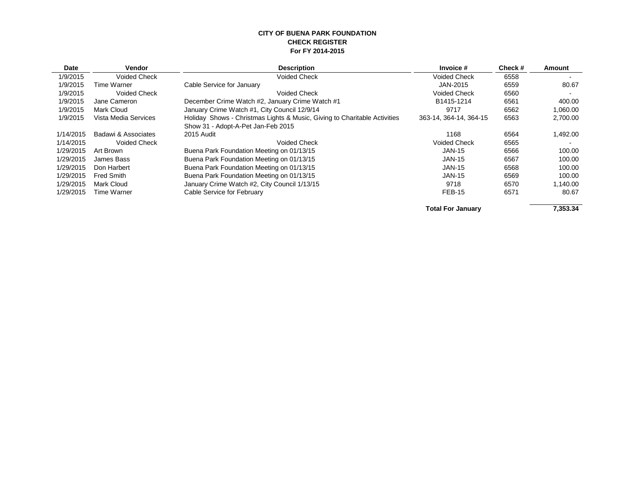#### **CITY OF BUENA PARK FOUNDATION CHECK REGISTER For FY 2014-2015**

| <b>Date</b> | <b>Vendor</b>        | <b>Description</b>                                                        | Invoice #                | Check# | Amount   |
|-------------|----------------------|---------------------------------------------------------------------------|--------------------------|--------|----------|
| 1/9/2015    | <b>Voided Check</b>  | <b>Voided Check</b>                                                       | <b>Voided Check</b>      | 6558   |          |
| 1/9/2015    | Time Warner          | Cable Service for January                                                 | JAN-2015                 | 6559   | 80.67    |
| 1/9/2015    | <b>Voided Check</b>  | <b>Voided Check</b>                                                       | <b>Voided Check</b>      | 6560   |          |
| 1/9/2015    | Jane Cameron         | December Crime Watch #2, January Crime Watch #1                           | B1415-1214               | 6561   | 400.00   |
| 1/9/2015    | Mark Cloud           | January Crime Watch #1, City Council 12/9/14                              | 9717                     | 6562   | 1,060.00 |
| 1/9/2015    | Vista Media Services | Holiday Shows - Christmas Lights & Music, Giving to Charitable Activities | 363-14, 364-14, 364-15   | 6563   | 2,700.00 |
|             |                      | Show 31 - Adopt-A-Pet Jan-Feb 2015                                        |                          |        |          |
| 1/14/2015   | Badawi & Associates  | 2015 Audit                                                                | 1168                     | 6564   | 1,492.00 |
| 1/14/2015   | <b>Voided Check</b>  | <b>Voided Check</b>                                                       | <b>Voided Check</b>      | 6565   |          |
| 1/29/2015   | Art Brown            | Buena Park Foundation Meeting on 01/13/15                                 | <b>JAN-15</b>            | 6566   | 100.00   |
| 1/29/2015   | James Bass           | Buena Park Foundation Meeting on 01/13/15                                 | <b>JAN-15</b>            | 6567   | 100.00   |
| 1/29/2015   | Don Harbert          | Buena Park Foundation Meeting on 01/13/15                                 | <b>JAN-15</b>            | 6568   | 100.00   |
| 1/29/2015   | <b>Fred Smith</b>    | Buena Park Foundation Meeting on 01/13/15                                 | <b>JAN-15</b>            | 6569   | 100.00   |
| 1/29/2015   | Mark Cloud           | January Crime Watch #2, City Council 1/13/15                              | 9718                     | 6570   | 1,140.00 |
| 1/29/2015   | Time Warner          | Cable Service for February                                                | FEB-15                   | 6571   | 80.67    |
|             |                      |                                                                           | <b>Total For January</b> |        | 7,353.34 |